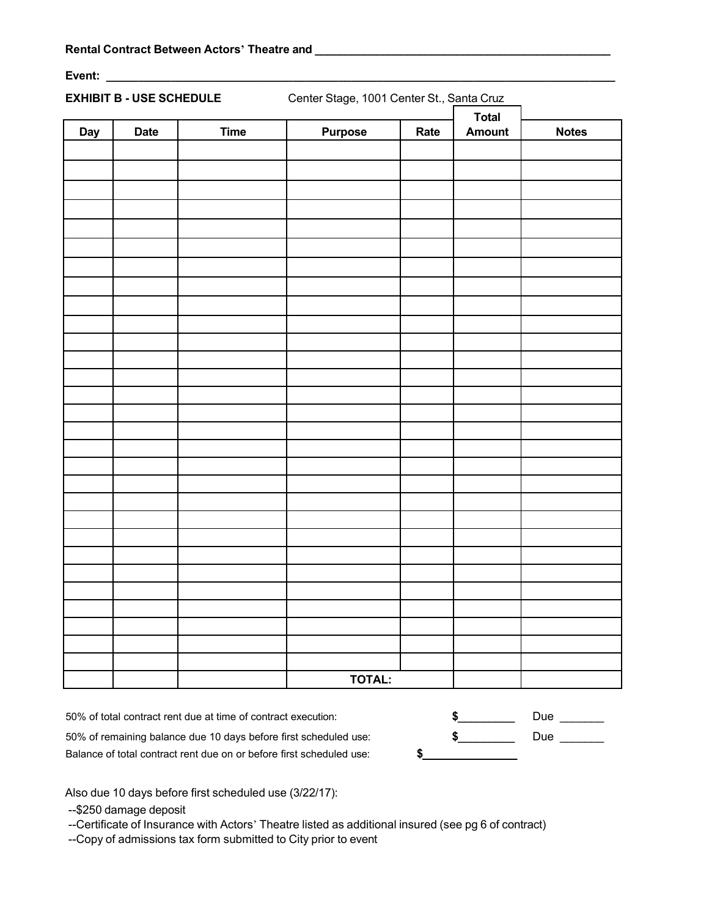**Event: \_\_\_\_\_\_\_\_\_\_\_\_\_\_\_\_\_\_\_\_\_\_\_\_\_\_\_\_\_\_\_\_\_\_\_\_\_\_\_\_\_\_\_\_\_\_\_\_\_\_\_\_\_\_\_\_\_\_\_\_\_\_\_\_\_\_\_\_\_\_\_\_\_\_\_\_\_\_\_**

**EXHIBIT B - USE SCHEDULE** Center Stage, 1001 Center St., Santa Cruz

|     |             |             |                |      | <b>Total</b>  |              |
|-----|-------------|-------------|----------------|------|---------------|--------------|
| Day | <b>Date</b> | <b>Time</b> | <b>Purpose</b> | Rate | <b>Amount</b> | <b>Notes</b> |
|     |             |             |                |      |               |              |
|     |             |             |                |      |               |              |
|     |             |             |                |      |               |              |
|     |             |             |                |      |               |              |
|     |             |             |                |      |               |              |
|     |             |             |                |      |               |              |
|     |             |             |                |      |               |              |
|     |             |             |                |      |               |              |
|     |             |             |                |      |               |              |
|     |             |             |                |      |               |              |
|     |             |             |                |      |               |              |
|     |             |             |                |      |               |              |
|     |             |             |                |      |               |              |
|     |             |             |                |      |               |              |
|     |             |             |                |      |               |              |
|     |             |             |                |      |               |              |
|     |             |             |                |      |               |              |
|     |             |             |                |      |               |              |
|     |             |             |                |      |               |              |
|     |             |             |                |      |               |              |
|     |             |             |                |      |               |              |
|     |             |             |                |      |               |              |
|     |             |             |                |      |               |              |
|     |             |             |                |      |               |              |
|     |             |             |                |      |               |              |
|     |             |             |                |      |               |              |
|     |             |             |                |      |               |              |
|     |             |             |                |      |               |              |
|     |             |             |                |      |               |              |
|     |             |             | <b>TOTAL:</b>  |      |               |              |

50% of total contract rent due at time of contract execution: **\$**\_\_\_\_\_\_\_\_\_ Due \_\_\_\_\_\_\_

50% of remaining balance due 10 days before first scheduled use: **\$**\_\_\_\_\_\_\_\_\_ Due \_\_\_\_\_\_\_

Balance of total contract rent due on or before first scheduled use: **\$**\_\_\_\_\_\_\_\_\_\_\_\_\_\_\_

Also due 10 days before first scheduled use (3/22/17):

--\$250 damage deposit

--Certificate of Insurance with Actors' Theatre listed as additional insured (see pg 6 of contract)

--Copy of admissions tax form submitted to City prior to event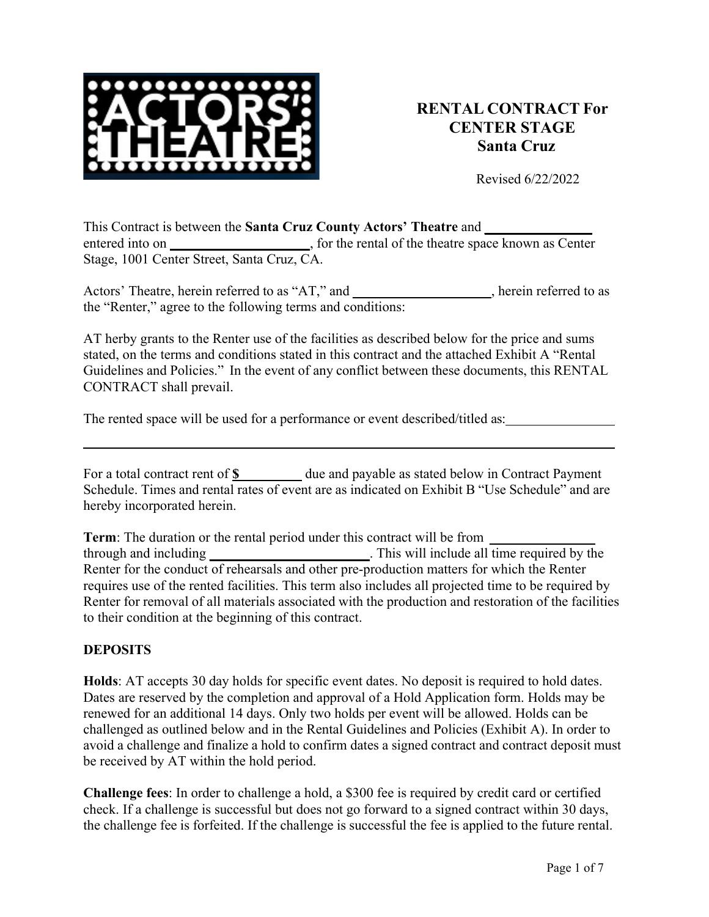

# **RENTAL CONTRACT For CENTER STAGE Santa Cruz**

Revised 6/22/2022

This Contract is between the **Santa Cruz County Actors' Theatre** and **\_\_\_\_\_\_\_\_\_\_\_\_\_\_ \_**  entered into on **a**, for the rental of the theatre space known as Center Stage, 1001 Center Street, Santa Cruz, CA.

Actors' Theatre, herein referred to as "AT," and  $\qquad \qquad$ , herein referred to as the "Renter," agree to the following terms and conditions:

AT herby grants to the Renter use of the facilities as described below for the price and sums stated, on the terms and conditions stated in this contract and the attached Exhibit A "Rental Guidelines and Policies." In the event of any conflict between these documents, this RENTAL CONTRACT shall prevail.

The rented space will be used for a performance or event described/titled as:

| For a total contract rent of <b>\$</b> | due and payable as stated below in Contract Payment                                            |
|----------------------------------------|------------------------------------------------------------------------------------------------|
|                                        | Schedule. Times and rental rates of event are as indicated on Exhibit B "Use Schedule" and are |
| hereby incorporated herein.            |                                                                                                |

**Term**: The duration or the rental period under this contract will be from **\_\_** through and including **\_\_** . This will include all time required by the Renter for the conduct of rehearsals and other pre-production matters for which the Renter requires use of the rented facilities. This term also includes all projected time to be required by Renter for removal of all materials associated with the production and restoration of the facilities to their condition at the beginning of this contract.

#### **DEPOSITS**

**Holds**: AT accepts 30 day holds for specific event dates. No deposit is required to hold dates. Dates are reserved by the completion and approval of a Hold Application form. Holds may be renewed for an additional 14 days. Only two holds per event will be allowed. Holds can be challenged as outlined below and in the Rental Guidelines and Policies (Exhibit A). In order to avoid a challenge and finalize a hold to confirm dates a signed contract and contract deposit must be received by AT within the hold period.

**Challenge fees**: In order to challenge a hold, a \$300 fee is required by credit card or certified check. If a challenge is successful but does not go forward to a signed contract within 30 days, the challenge fee is forfeited. If the challenge is successful the fee is applied to the future rental.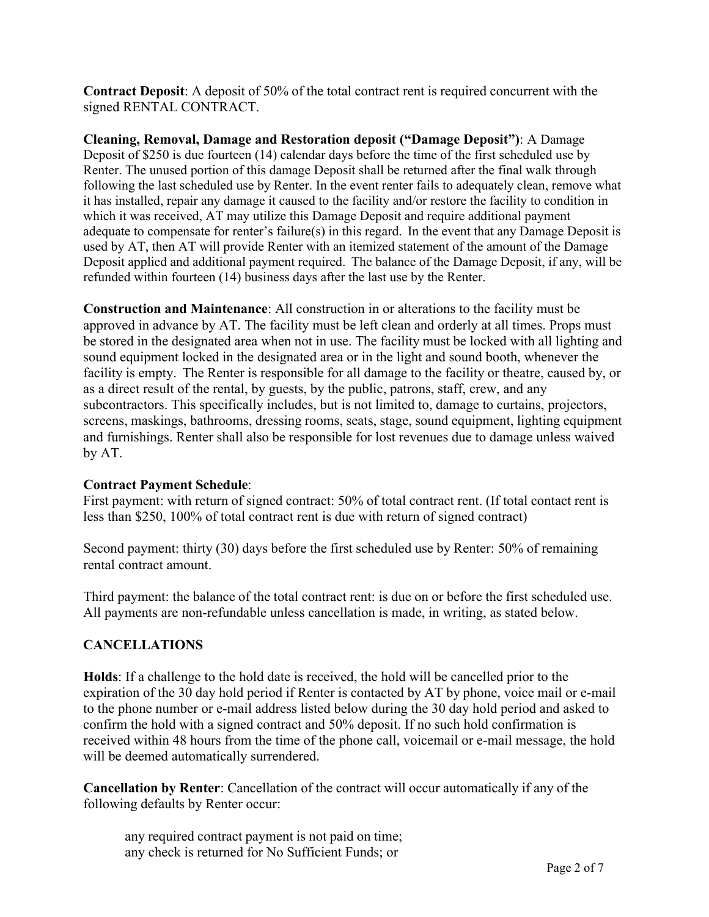**Contract Deposit**: A deposit of 50% of the total contract rent is required concurrent with the signed RENTAL CONTRACT.

**Cleaning, Removal, Damage and Restoration deposit ("Damage Deposit")**: A Damage Deposit of \$250 is due fourteen (14) calendar days before the time of the first scheduled use by Renter. The unused portion of this damage Deposit shall be returned after the final walk through following the last scheduled use by Renter. In the event renter fails to adequately clean, remove what it has installed, repair any damage it caused to the facility and/or restore the facility to condition in which it was received, AT may utilize this Damage Deposit and require additional payment adequate to compensate for renter's failure(s) in this regard. In the event that any Damage Deposit is used by AT, then AT will provide Renter with an itemized statement of the amount of the Damage Deposit applied and additional payment required. The balance of the Damage Deposit, if any, will be refunded within fourteen (14) business days after the last use by the Renter.

**Construction and Maintenance**: All construction in or alterations to the facility must be approved in advance by AT. The facility must be left clean and orderly at all times. Props must be stored in the designated area when not in use. The facility must be locked with all lighting and sound equipment locked in the designated area or in the light and sound booth, whenever the facility is empty. The Renter is responsible for all damage to the facility or theatre, caused by, or as a direct result of the rental, by guests, by the public, patrons, staff, crew, and any subcontractors. This specifically includes, but is not limited to, damage to curtains, projectors, screens, maskings, bathrooms, dressing rooms, seats, stage, sound equipment, lighting equipment and furnishings. Renter shall also be responsible for lost revenues due to damage unless waived by AT.

### **Contract Payment Schedule**:

First payment: with return of signed contract: 50% of total contract rent. (If total contact rent is less than \$250, 100% of total contract rent is due with return of signed contract)

Second payment: thirty (30) days before the first scheduled use by Renter: 50% of remaining rental contract amount.

Third payment: the balance of the total contract rent: is due on or before the first scheduled use. All payments are non-refundable unless cancellation is made, in writing, as stated below.

### **CANCELLATIONS**

**Holds**: If a challenge to the hold date is received, the hold will be cancelled prior to the expiration of the 30 day hold period if Renter is contacted by AT by phone, voice mail or e-mail to the phone number or e-mail address listed below during the 30 day hold period and asked to confirm the hold with a signed contract and 50% deposit. If no such hold confirmation is received within 48 hours from the time of the phone call, voicemail or e-mail message, the hold will be deemed automatically surrendered.

**Cancellation by Renter**: Cancellation of the contract will occur automatically if any of the following defaults by Renter occur:

any required contract payment is not paid on time; any check is returned for No Sufficient Funds; or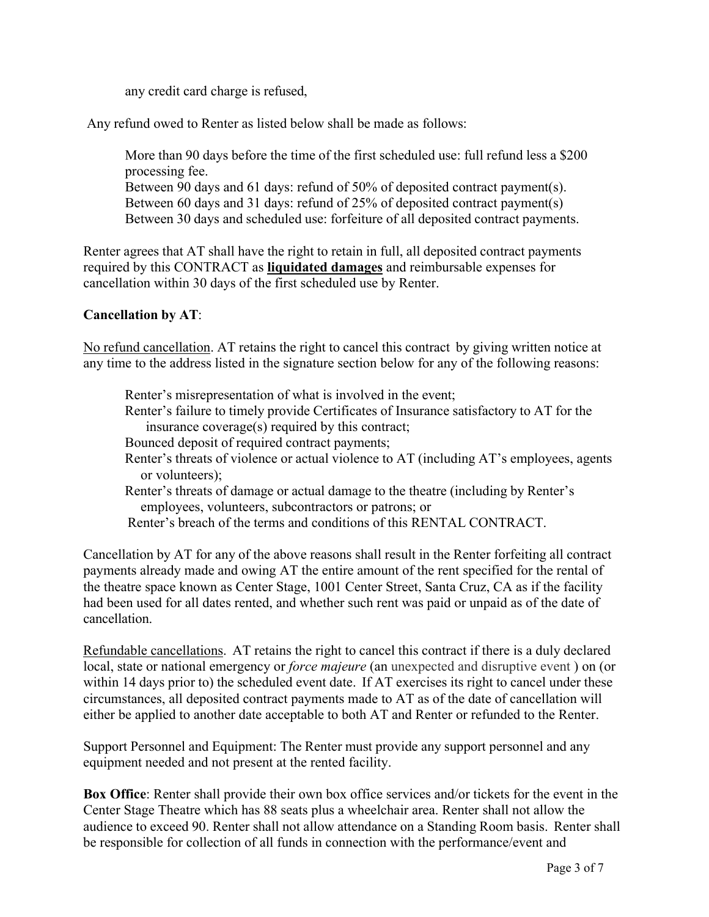any credit card charge is refused,

Any refund owed to Renter as listed below shall be made as follows:

More than 90 days before the time of the first scheduled use: full refund less a \$200 processing fee. Between 90 days and 61 days: refund of 50% of deposited contract payment(s).

Between 60 days and 31 days: refund of 25% of deposited contract payment(s) Between 30 days and scheduled use: forfeiture of all deposited contract payments.

Renter agrees that AT shall have the right to retain in full, all deposited contract payments required by this CONTRACT as **liquidated damages** and reimbursable expenses for cancellation within 30 days of the first scheduled use by Renter.

## **Cancellation by AT**:

No refund cancellation. AT retains the right to cancel this contract by giving written notice at any time to the address listed in the signature section below for any of the following reasons:

Renter's misrepresentation of what is involved in the event;

- Renter's failure to timely provide Certificates of Insurance satisfactory to AT for the insurance coverage(s) required by this contract;
- Bounced deposit of required contract payments;
- Renter's threats of violence or actual violence to AT (including AT's employees, agents or volunteers);
- Renter's threats of damage or actual damage to the theatre (including by Renter's employees, volunteers, subcontractors or patrons; or
- Renter's breach of the terms and conditions of this RENTAL CONTRACT.

Cancellation by AT for any of the above reasons shall result in the Renter forfeiting all contract payments already made and owing AT the entire amount of the rent specified for the rental of the theatre space known as Center Stage, 1001 Center Street, Santa Cruz, CA as if the facility had been used for all dates rented, and whether such rent was paid or unpaid as of the date of cancellation.

Refundable cancellations. AT retains the right to cancel this contract if there is a duly declared local, state or national emergency or *force majeure* (an unexpected and disruptive event ) on (or within 14 days prior to) the scheduled event date. If AT exercises its right to cancel under these circumstances, all deposited contract payments made to AT as of the date of cancellation will either be applied to another date acceptable to both AT and Renter or refunded to the Renter.

Support Personnel and Equipment: The Renter must provide any support personnel and any equipment needed and not present at the rented facility.

**Box Office**: Renter shall provide their own box office services and/or tickets for the event in the Center Stage Theatre which has 88 seats plus a wheelchair area. Renter shall not allow the audience to exceed 90. Renter shall not allow attendance on a Standing Room basis. Renter shall be responsible for collection of all funds in connection with the performance/event and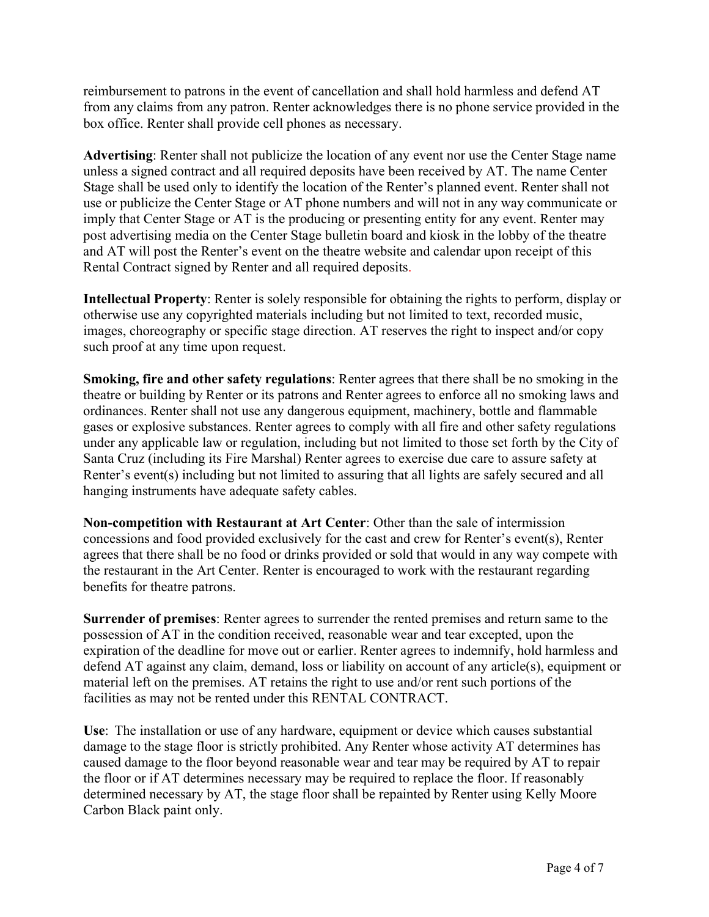reimbursement to patrons in the event of cancellation and shall hold harmless and defend AT from any claims from any patron. Renter acknowledges there is no phone service provided in the box office. Renter shall provide cell phones as necessary.

**Advertising**: Renter shall not publicize the location of any event nor use the Center Stage name unless a signed contract and all required deposits have been received by AT. The name Center Stage shall be used only to identify the location of the Renter's planned event. Renter shall not use or publicize the Center Stage or AT phone numbers and will not in any way communicate or imply that Center Stage or AT is the producing or presenting entity for any event. Renter may post advertising media on the Center Stage bulletin board and kiosk in the lobby of the theatre and AT will post the Renter's event on the theatre website and calendar upon receipt of this Rental Contract signed by Renter and all required deposits.

**Intellectual Property**: Renter is solely responsible for obtaining the rights to perform, display or otherwise use any copyrighted materials including but not limited to text, recorded music, images, choreography or specific stage direction. AT reserves the right to inspect and/or copy such proof at any time upon request.

**Smoking, fire and other safety regulations**: Renter agrees that there shall be no smoking in the theatre or building by Renter or its patrons and Renter agrees to enforce all no smoking laws and ordinances. Renter shall not use any dangerous equipment, machinery, bottle and flammable gases or explosive substances. Renter agrees to comply with all fire and other safety regulations under any applicable law or regulation, including but not limited to those set forth by the City of Santa Cruz (including its Fire Marshal) Renter agrees to exercise due care to assure safety at Renter's event(s) including but not limited to assuring that all lights are safely secured and all hanging instruments have adequate safety cables.

**Non-competition with Restaurant at Art Center**: Other than the sale of intermission concessions and food provided exclusively for the cast and crew for Renter's event(s), Renter agrees that there shall be no food or drinks provided or sold that would in any way compete with the restaurant in the Art Center. Renter is encouraged to work with the restaurant regarding benefits for theatre patrons.

**Surrender of premises**: Renter agrees to surrender the rented premises and return same to the possession of AT in the condition received, reasonable wear and tear excepted, upon the expiration of the deadline for move out or earlier. Renter agrees to indemnify, hold harmless and defend AT against any claim, demand, loss or liability on account of any article(s), equipment or material left on the premises. AT retains the right to use and/or rent such portions of the facilities as may not be rented under this RENTAL CONTRACT.

**Use**: The installation or use of any hardware, equipment or device which causes substantial damage to the stage floor is strictly prohibited. Any Renter whose activity AT determines has caused damage to the floor beyond reasonable wear and tear may be required by AT to repair the floor or if AT determines necessary may be required to replace the floor. If reasonably determined necessary by AT, the stage floor shall be repainted by Renter using Kelly Moore Carbon Black paint only.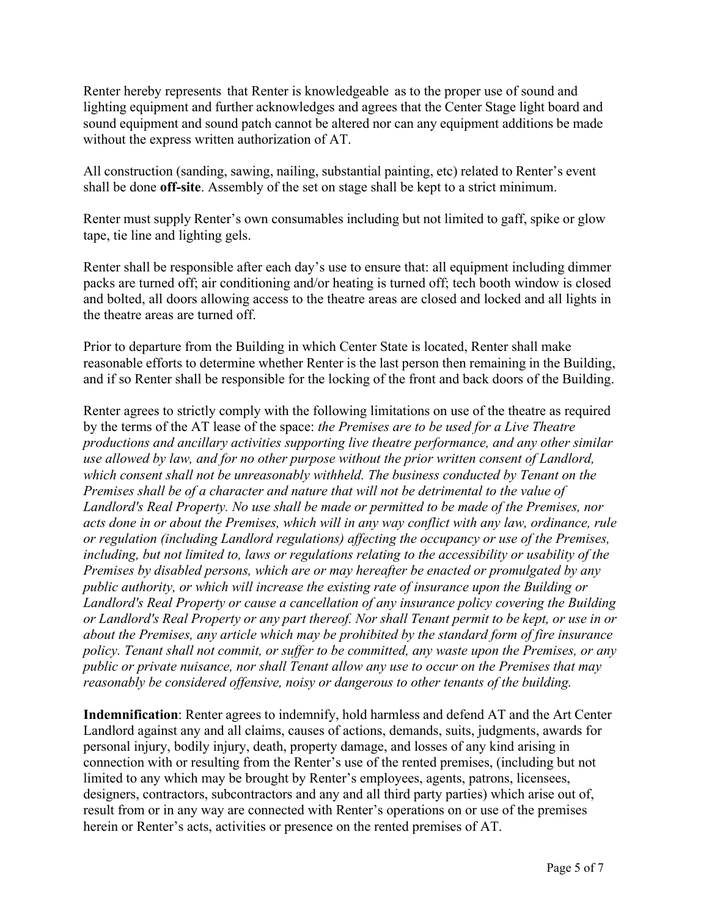Renter hereby represents that Renter is knowledgeable as to the proper use of sound and lighting equipment and further acknowledges and agrees that the Center Stage light board and sound equipment and sound patch cannot be altered nor can any equipment additions be made without the express written authorization of AT.

All construction (sanding, sawing, nailing, substantial painting, etc) related to Renter's event shall be done **off-site**. Assembly of the set on stage shall be kept to a strict minimum.

Renter must supply Renter's own consumables including but not limited to gaff, spike or glow tape, tie line and lighting gels.

Renter shall be responsible after each day's use to ensure that: all equipment including dimmer packs are turned off; air conditioning and/or heating is turned off; tech booth window is closed and bolted, all doors allowing access to the theatre areas are closed and locked and all lights in the theatre areas are turned off.

Prior to departure from the Building in which Center State is located, Renter shall make reasonable efforts to determine whether Renter is the last person then remaining in the Building, and if so Renter shall be responsible for the locking of the front and back doors of the Building.

Renter agrees to strictly comply with the following limitations on use of the theatre as required by the terms of the AT lease of the space: *the Premises are to be used for a Live Theatre productions and ancillary activities supporting live theatre performance, and any other similar use allowed by law, and for no other purpose without the prior written consent of Landlord, which consent shall not be unreasonably withheld. The business conducted by Tenant on the Premises shall be of a character and nature that will not be detrimental to the value of Landlord's Real Property. No use shall be made or permitted to be made of the Premises, nor acts done in or about the Premises, which will in any way conflict with any law, ordinance, rule or regulation (including Landlord regulations) affecting the occupancy or use of the Premises, including, but not limited to, laws or regulations relating to the accessibility or usability of the Premises by disabled persons, which are or may hereafter be enacted or promulgated by any public authority, or which will increase the existing rate of insurance upon the Building or Landlord's Real Property or cause a cancellation of any insurance policy covering the Building*  or Landlord's Real Property or any part thereof. Nor shall Tenant permit to be kept, or use in or *about the Premises, any article which may be prohibited by the standard form of fire insurance policy. Tenant shall not commit, or suffer to be committed, any waste upon the Premises, or any public or private nuisance, nor shall Tenant allow any use to occur on the Premises that may reasonably be considered offensive, noisy or dangerous to other tenants of the building.*

**Indemnification**: Renter agrees to indemnify, hold harmless and defend AT and the Art Center Landlord against any and all claims, causes of actions, demands, suits, judgments, awards for personal injury, bodily injury, death, property damage, and losses of any kind arising in connection with or resulting from the Renter's use of the rented premises, (including but not limited to any which may be brought by Renter's employees, agents, patrons, licensees, designers, contractors, subcontractors and any and all third party parties) which arise out of, result from or in any way are connected with Renter's operations on or use of the premises herein or Renter's acts, activities or presence on the rented premises of AT.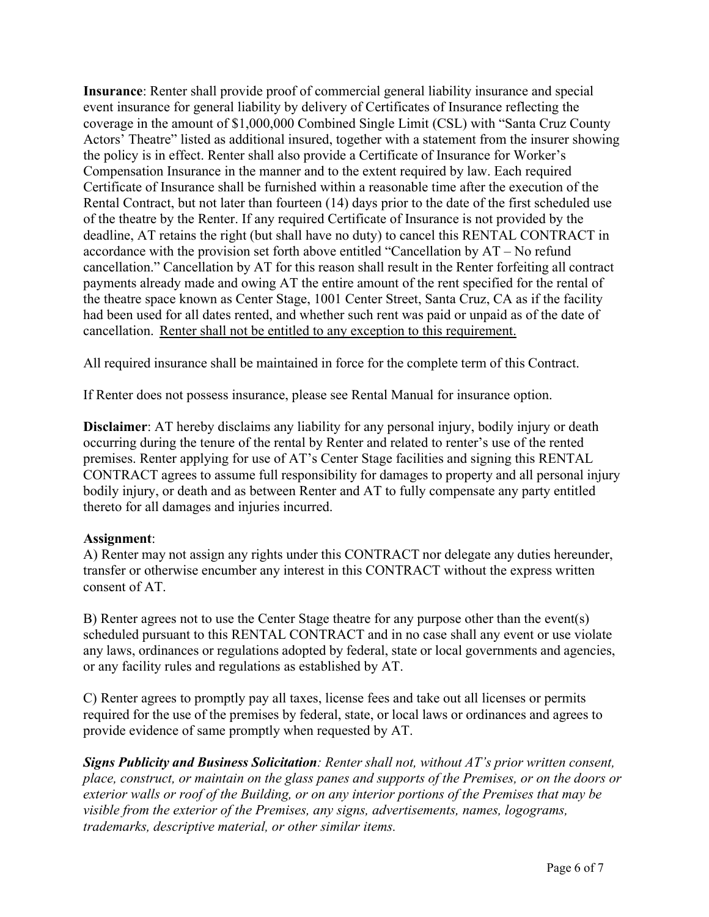**Insurance**: Renter shall provide proof of commercial general liability insurance and special event insurance for general liability by delivery of Certificates of Insurance reflecting the coverage in the amount of \$1,000,000 Combined Single Limit (CSL) with "Santa Cruz County Actors' Theatre" listed as additional insured, together with a statement from the insurer showing the policy is in effect. Renter shall also provide a Certificate of Insurance for Worker's Compensation Insurance in the manner and to the extent required by law. Each required Certificate of Insurance shall be furnished within a reasonable time after the execution of the Rental Contract, but not later than fourteen (14) days prior to the date of the first scheduled use of the theatre by the Renter. If any required Certificate of Insurance is not provided by the deadline, AT retains the right (but shall have no duty) to cancel this RENTAL CONTRACT in accordance with the provision set forth above entitled "Cancellation by AT – No refund cancellation." Cancellation by AT for this reason shall result in the Renter forfeiting all contract payments already made and owing AT the entire amount of the rent specified for the rental of the theatre space known as Center Stage, 1001 Center Street, Santa Cruz, CA as if the facility had been used for all dates rented, and whether such rent was paid or unpaid as of the date of cancellation. Renter shall not be entitled to any exception to this requirement.

All required insurance shall be maintained in force for the complete term of this Contract.

If Renter does not possess insurance, please see Rental Manual for insurance option.

**Disclaimer**: AT hereby disclaims any liability for any personal injury, bodily injury or death occurring during the tenure of the rental by Renter and related to renter's use of the rented premises. Renter applying for use of AT's Center Stage facilities and signing this RENTAL CONTRACT agrees to assume full responsibility for damages to property and all personal injury bodily injury, or death and as between Renter and AT to fully compensate any party entitled thereto for all damages and injuries incurred.

### **Assignment**:

A) Renter may not assign any rights under this CONTRACT nor delegate any duties hereunder, transfer or otherwise encumber any interest in this CONTRACT without the express written consent of AT.

B) Renter agrees not to use the Center Stage theatre for any purpose other than the event(s) scheduled pursuant to this RENTAL CONTRACT and in no case shall any event or use violate any laws, ordinances or regulations adopted by federal, state or local governments and agencies, or any facility rules and regulations as established by AT.

C) Renter agrees to promptly pay all taxes, license fees and take out all licenses or permits required for the use of the premises by federal, state, or local laws or ordinances and agrees to provide evidence of same promptly when requested by AT.

*Signs Publicity and Business Solicitation: Renter shall not, without AT's prior written consent, place, construct, or maintain on the glass panes and supports of the Premises, or on the doors or exterior walls or roof of the Building, or on any interior portions of the Premises that may be visible from the exterior of the Premises, any signs, advertisements, names, logograms, trademarks, descriptive material, or other similar items.*